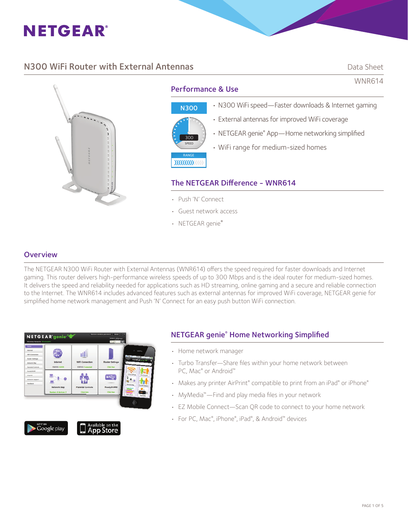

# **N300 WiFi Router with External Antennas Data Sheet Construction Construction** Data Sheet

WNR614



# Performance & Use



## • N300 WiFi speed—Faster downloads & Internet gaming

- External antennas for improved WiFi coverage
- NETGEAR genie® App-Home networking simplified
- WiFi range for medium-sized homes

## The NETGEAR Difference - WNR614

- Push 'N' Connect
- Guest network access
- NETGEAR genie®

## **Overview**

The NETGEAR N300 WiFi Router with External Antennas (WNR614) offers the speed required for faster downloads and Internet gaming. This router delivers high-performance wireless speeds of up to 300 Mbps and is the ideal router for medium-sized homes. It delivers the speed and reliability needed for applications such as HD streaming, online gaming and a secure and reliable connection to the Internet. The WNR614 includes advanced features such as external antennas for improved WiFi coverage, NETGEAR genie for simplified home network management and Push 'N' Connect for an easy push button WiFi connection.



Available on the<br>**App Store** Google play



- Home network manager
- Turbo Transfer-Share files within your home network between PC, Mac® or Android™
- Makes any printer AirPrint® compatible to print from an iPad® or iPhone®
- MyMedia<sup>™</sup>—Find and play media files in your network
- EZ Mobile Connect—Scan QR code to connect to your home network
- For PC, Mac®, iPhone®, iPad®, & Android™ devices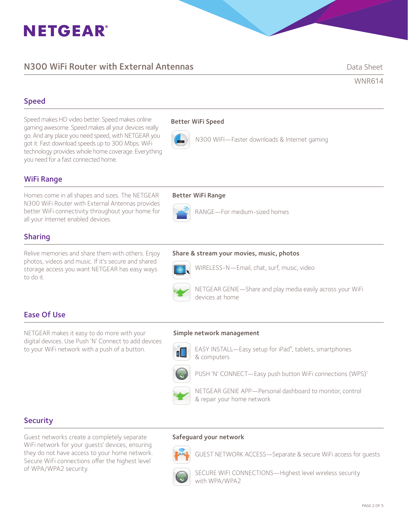# **NETGEAR®**

# N300 WiFi Router with External Antennas **Data Sheet** Data Sheet

WNR614

# Speed

Speed makes HD video better. Speed makes online gaming awesome. Speed makes all your devices really go. And any place you need speed, with NETGEAR you got it. Fast download speeds up to 300 Mbps. WiFi technology provides whole home coverage. Everything you need for a fast connected home.

## Better WiFi Speed



N300 WIFI—Faster downloads & Internet gaming

# WiFi Range

Homes come in all shapes and sizes. The NETGEAR Better WiFi Range N300 WiFi Router with External Antennas provides better WiFi connectivity throughout your home for all your Internet enabled devices.

# Sharing

Relive memories and share them with others. Enjoy photos, videos and music. If it's secure and shared storage access you want NETGEAR has easy ways to do it.



RANGE—For medium-sized homes

#### Share & stream your movies, music, photos



WIRELESS-N —Email, chat, surf, music, video



 NETGEAR GENIE—Share and play media easily across your WiFi devices at home

# Ease Of Use

NETGEAR makes it easy to do more with your digital devices. Use Push 'N' Connect to add devices to your WiFi network with a push of a button.

#### Simple network management



**EASY INSTALL—Easy setup for iPad®**, tablets, smartphones & computers



PUSH 'N' CONNECT-Easy push button WiFi connections (WPS)<sup>1</sup>



# **Security**

Guest networks create a completely separate WiFi network for your guests' devices, ensuring they do not have access to your home network. Secure WiFi connections offer the highest level of WPA/WPA2 security.

#### Safeguard your network



GUEST NETWORK ACCESS—Separate & secure WiFi access for guests

 SECURE WIFI CONNECTIONS—Highest level wireless security with WPA/WPA2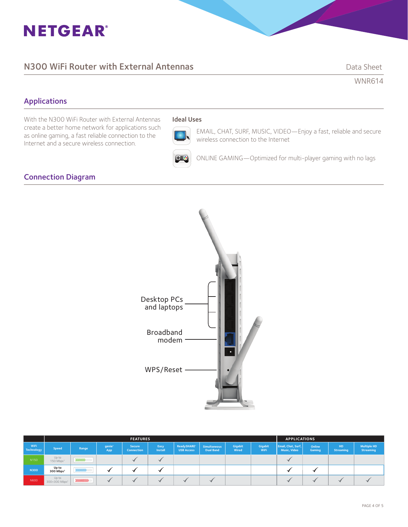# **NETGEAR®**

# **N300 WiFi Router with External Antennas Data Sheet** Data Sheet

WNR614

# Applications

With the N300 WiFi Router with External Antennas create a better home network for applications such as online gaming, a fast reliable connection to the Internet and a secure wireless connection.

# Ideal Uses



EMAIL, CHAT, SURF, MUSIC, VIDEO—Enjoy a fast, reliable and secure wireless connection to the Internet

ONLINE GAMING—Optimized for multi-player gaming with no lags

# Connection Diagram



|                    | <b>FEATURES</b>                    |           |                           |                             |                 |                                              |                                  | <b>APPLICATIONS</b> |                 |                                    |                  |                               |                                        |
|--------------------|------------------------------------|-----------|---------------------------|-----------------------------|-----------------|----------------------------------------------|----------------------------------|---------------------|-----------------|------------------------------------|------------------|-------------------------------|----------------------------------------|
| WiFi<br>Technology | <b>Speed</b>                       | Range     | genie <sup>®</sup><br>App | <b>Secure</b><br>Connection | Easy<br>Install | ReadySHARE <sup>®</sup><br><b>USB Access</b> | Simultaneous<br><b>Dual Band</b> | Gigabit<br>Wired    | Gigabit<br>WiFi | Email, Chat, Surf,<br>Music, Video | Online<br>Gaming | <b>HD</b><br><b>Streaming</b> | <b>Multiple HD</b><br><b>Streaming</b> |
| N <sub>150</sub>   | Up to<br>150 Mbps <sup>+</sup>     |           |                           |                             |                 |                                              |                                  |                     |                 |                                    |                  |                               |                                        |
| <b>N300</b>        | Up to<br>300 Mbps <sup>+</sup>     |           |                           |                             |                 |                                              |                                  |                     |                 |                                    |                  |                               |                                        |
| N600               | Up to<br>300+300 Mbps <sup>+</sup> | 101010101 |                           |                             |                 |                                              |                                  |                     |                 |                                    |                  |                               |                                        |